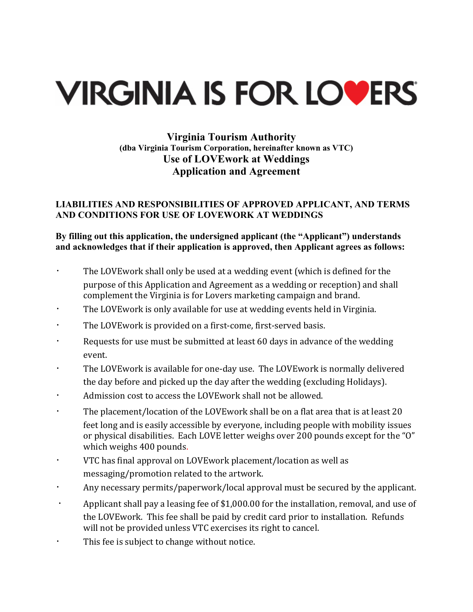# **VIRGINIA IS FOR LOVERS**

## **Virginia Tourism Authority (dba Virginia Tourism Corporation, hereinafter known as VTC) Use of LOVEwork at Weddings Application and Agreement**

#### **LIABILITIES AND RESPONSIBILITIES OF APPROVED APPLICANT, AND TERMS AND CONDITIONS FOR USE OF LOVEWORK AT WEDDINGS**

### **By filling out this application, the undersigned applicant (the "Applicant") understands and acknowledges that if their application is approved, then Applicant agrees as follows:**

- The LOVEwork shall only be used at a wedding event (which is defined for the purpose of this Application and Agreement as a wedding or reception) and shall complement the Virginia is for Lovers marketing campaign and brand.
- $\cdot$  The LOVE work is only available for use at wedding events held in Virginia.
- The LOVEwork is provided on a first-come, first-served basis.
- Requests for use must be submitted at least 60 days in advance of the wedding event.
- The LOVEwork is available for one-day use. The LOVEwork is normally delivered the day before and picked up the day after the wedding (excluding Holidays).
- Admission cost to access the LOVEwork shall not be allowed.
- $\cdot$  The placement/location of the LOVEwork shall be on a flat area that is at least 20 feet long and is easily accessible by everyone, including people with mobility issues or physical disabilities. Each LOVE letter weighs over 200 pounds except for the "O" which weighs 400 pounds.
- VTC has final approval on LOVEwork placement/location as well as messaging/promotion related to the artwork.
- Any necessary permits/paperwork/local approval must be secured by the applicant.
- Applicant shall pay a leasing fee of \$1,000.00 for the installation, removal, and use of the LOVEwork. This fee shall be paid by credit card prior to installation. Refunds will not be provided unless VTC exercises its right to cancel.
- This fee is subject to change without notice.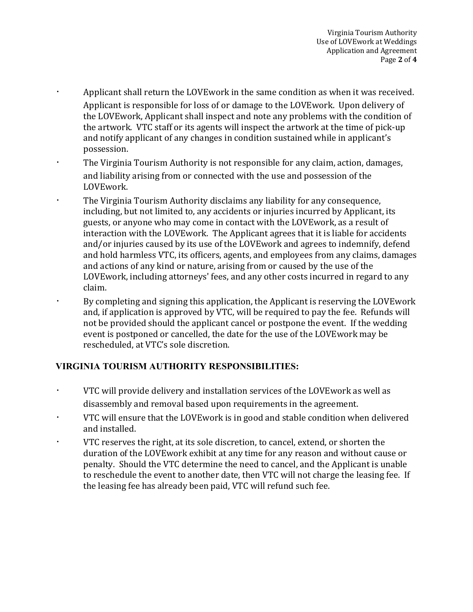- Applicant shall return the LOVEwork in the same condition as when it was received. Applicant is responsible for loss of or damage to the LOVEwork. Upon delivery of the LOVEwork, Applicant shall inspect and note any problems with the condition of the artwork. VTC staff or its agents will inspect the artwork at the time of pick-up and notify applicant of any changes in condition sustained while in applicant's possession.
- The Virginia Tourism Authority is not responsible for any claim, action, damages, and liability arising from or connected with the use and possession of the LOVEwork.
- **EXECT:** The Virginia Tourism Authority disclaims any liability for any consequence, including, but not limited to, any accidents or injuries incurred by Applicant, its guests, or anyone who may come in contact with the LOVEwork, as a result of interaction with the LOVEwork. The Applicant agrees that it is liable for accidents and/or injuries caused by its use of the LOVEwork and agrees to indemnify, defend and hold harmless VTC, its officers, agents, and employees from any claims, damages and actions of any kind or nature, arising from or caused by the use of the LOVEwork, including attorneys' fees, and any other costs incurred in regard to any claim.
- the By completing and signing this application, the Applicant is reserving the LOVEwork and, if application is approved by VTC, will be required to pay the fee. Refunds will not be provided should the applicant cancel or postpone the event. If the wedding event is postponed or cancelled, the date for the use of the LOVEwork may be rescheduled, at VTC's sole discretion.

## **VIRGINIA TOURISM AUTHORITY RESPONSIBILITIES:**

- $\cdot$  VTC will provide delivery and installation services of the LOVEwork as well as disassembly and removal based upon requirements in the agreement.
- VTC will ensure that the LOVEwork is in good and stable condition when delivered and installed.
- VTC reserves the right, at its sole discretion, to cancel, extend, or shorten the duration of the LOVE work exhibit at any time for any reason and without cause or penalty. Should the VTC determine the need to cancel, and the Applicant is unable to reschedule the event to another date, then VTC will not charge the leasing fee. If the leasing fee has already been paid, VTC will refund such fee.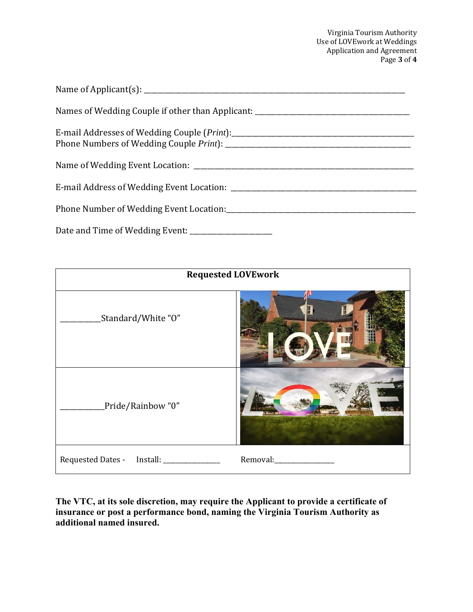Virginia Tourism Authority Use of LOVEwork at Weddings Application and Agreement Page **3** of **4**

| Names of Wedding Couple if other than Applicant: _______________________________ |
|----------------------------------------------------------------------------------|
|                                                                                  |
|                                                                                  |
|                                                                                  |
|                                                                                  |
|                                                                                  |

| <b>Requested LOVEwork</b>               |                          |  |
|-----------------------------------------|--------------------------|--|
| Standard/White "O"                      | H                        |  |
| Pride/Rainbow "0"                       |                          |  |
| Requested Dates - Install: ____________ | Removal:________________ |  |

**The VTC, at its sole discretion, may require the Applicant to provide a certificate of insurance or post a performance bond, naming the Virginia Tourism Authority as additional named insured.**